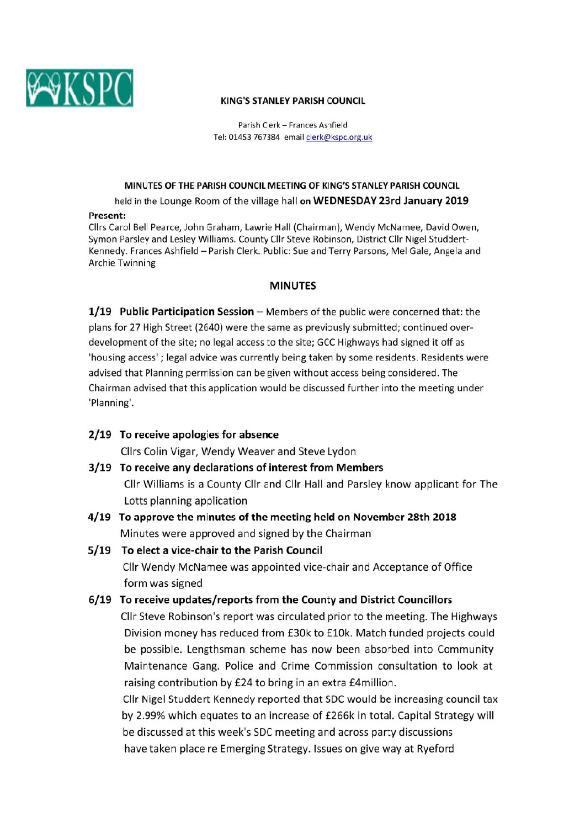

#### **KING'S STANLEY PARISH COUNCIL**

Parish Clerk - Frances Ashfield Tel: 01453 767384 email clerk@kspc.org.uk

#### MINUTES OF THE PARISH COUNCIL MEETING OF KING'S STANLEY PARISH COUNCIL

held in the Lounge Room of the village hall on WEDNESDAY 23rd January 2019

#### Present:

Cllrs Carol Bell Pearce, John Graham, Lawrie Hall (Chairman), Wendy McNamee, David Owen, Symon Parsley and Lesley Williams. County Cllr Steve Robinson, District Cllr Nigel Studdert-Kennedy. Frances Ashfield - Parish Clerk. Public: Sue and Terry Parsons, Mel Gale, Angela and **Archie Twinning** 

#### **MINUTES**

1/19 Public Participation Session  $-$  Members of the public were concerned that: the plans for 27 High Street (2640) were the same as previously submitted; continued overdevelopment of the site; no legal access to the site; GCC Highways had signed it off as 'housing access'; legal advice was currently being taken by some residents. Residents were advised that Planning permission can be given without access being considered. The Chairman advised that this application would be discussed further into the meeting under 'Planning'.

## 2/19 To receive apologies for absence

Cllrs Colin Vigar, Wendy Weaver and Steve Lydon

- 3/19 To receive any declarations of interest from Members Cllr Williams is a County Cllr and Cllr Hall and Parsley know applicant for The Lotts planning application
- 4/19 To approve the minutes of the meeting held on November 28th 2018 Minutes were approved and signed by the Chairman
- 5/19 To elect a vice-chair to the Parish Council Cllr Wendy McNamee was appointed vice-chair and Acceptance of Office form was signed
- 6/19 To receive updates/reports from the County and District Councillors

Cllr Steve Robinson's report was circulated prior to the meeting. The Highways Division money has reduced from £30k to £10k. Match funded projects could be possible. Lengthsman scheme has now been absorbed into Community Maintenance Gang. Police and Crime Commission consultation to look at raising contribution by £24 to bring in an extra £4million.

Cllr Nigel Studdert Kennedy reported that SDC would be increasing council tax by 2.99% which equates to an increase of £266k in total. Capital Strategy will be discussed at this week's SDC meeting and across party discussions have taken place re Emerging Strategy. Issues on give way at Ryeford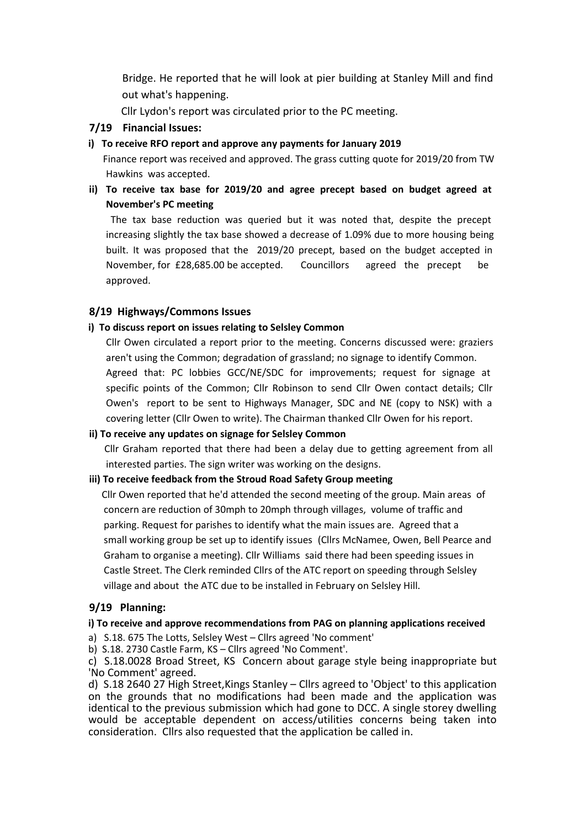Bridge. He reported that he will look at pier building at Stanley Mill and find out what's happening.

Cllr Lydon's report was circulated prior to the PC meeting.

# **7/19 Financial Issues:**

## **i) To receive RFO report and approve any payments for January 2019**

 Finance report was received and approved. The grass cutting quote for 2019/20 from TW Hawkins was accepted.

**ii) To receive tax base for 2019/20 and agree precept based on budget agreed at November's PC meeting**

The tax base reduction was queried but it was noted that, despite the precept increasing slightly the tax base showed a decrease of 1.09% due to more housing being built. It was proposed that the 2019/20 precept, based on the budget accepted in November, for £28,685.00 be accepted. Councillors agreed the precept be approved.

# **8/19 Highways/Commons Issues**

## **i) To discuss report on issues relating to Selsley Common**

Cllr Owen circulated a report prior to the meeting. Concerns discussed were: graziers aren't using the Common; degradation of grassland; no signage to identify Common. Agreed that: PC lobbies GCC/NE/SDC for improvements; request for signage at specific points of the Common; Cllr Robinson to send Cllr Owen contact details; Cllr Owen's report to be sent to Highways Manager, SDC and NE (copy to NSK) with a covering letter (Cllr Owen to write). The Chairman thanked Cllr Owen for his report.

## **ii) To receive any updates on signage for Selsley Common**

 Cllr Graham reported that there had been a delay due to getting agreement from all interested parties. The sign writer was working on the designs.

## **iii) To receive feedback from the Stroud Road Safety Group meeting**

 Cllr Owen reported that he'd attended the second meeting of the group. Main areas of concern are reduction of 30mph to 20mph through villages, volume of traffic and parking. Request for parishes to identify what the main issues are. Agreed that a small working group be set up to identify issues (Cllrs McNamee, Owen, Bell Pearce and Graham to organise a meeting). Cllr Williams said there had been speeding issues in Castle Street. The Clerk reminded Cllrs of the ATC report on speeding through Selsley village and about the ATC due to be installed in February on Selsley Hill.

## **9/19 Planning:**

## **i) To receive and approve recommendations from PAG on planning applications received**

a) S.18. 675 The Lotts, Selsley West – Cllrs agreed 'No comment'

b) S.18. 2730 Castle Farm, KS – Cllrs agreed 'No Comment'.

c) S.18.0028 Broad Street, KS Concern about garage style being inappropriate but 'No Comment' agreed.

d) S.18 2640 27 High Street,Kings Stanley – Cllrs agreed to 'Object' to this application on the grounds that no modifications had been made and the application was identical to the previous submission which had gone to DCC. A single storey dwelling would be acceptable dependent on access/utilities concerns being taken into consideration. Cllrs also requested that the application be called in.